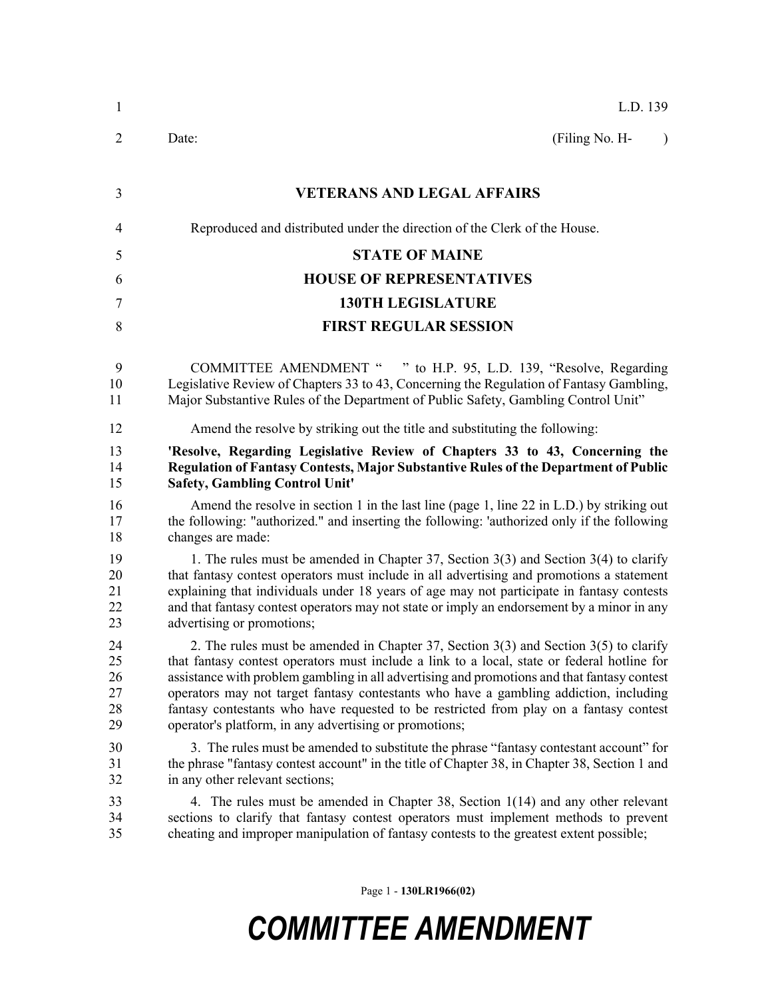| 1                                | L.D. 139                                                                                                                                                                                                                                                                                                                                                                                                                                                                                                                            |
|----------------------------------|-------------------------------------------------------------------------------------------------------------------------------------------------------------------------------------------------------------------------------------------------------------------------------------------------------------------------------------------------------------------------------------------------------------------------------------------------------------------------------------------------------------------------------------|
| 2                                | (Filing No. H-<br>Date:<br>$\lambda$                                                                                                                                                                                                                                                                                                                                                                                                                                                                                                |
| 3                                | <b>VETERANS AND LEGAL AFFAIRS</b>                                                                                                                                                                                                                                                                                                                                                                                                                                                                                                   |
| 4                                | Reproduced and distributed under the direction of the Clerk of the House.                                                                                                                                                                                                                                                                                                                                                                                                                                                           |
| 5                                | <b>STATE OF MAINE</b>                                                                                                                                                                                                                                                                                                                                                                                                                                                                                                               |
| 6                                | <b>HOUSE OF REPRESENTATIVES</b>                                                                                                                                                                                                                                                                                                                                                                                                                                                                                                     |
| 7                                | <b>130TH LEGISLATURE</b>                                                                                                                                                                                                                                                                                                                                                                                                                                                                                                            |
| 8                                | <b>FIRST REGULAR SESSION</b>                                                                                                                                                                                                                                                                                                                                                                                                                                                                                                        |
| 9<br>10<br>11                    | COMMITTEE AMENDMENT " " to H.P. 95, L.D. 139, "Resolve, Regarding<br>Legislative Review of Chapters 33 to 43, Concerning the Regulation of Fantasy Gambling,<br>Major Substantive Rules of the Department of Public Safety, Gambling Control Unit"                                                                                                                                                                                                                                                                                  |
| 12                               | Amend the resolve by striking out the title and substituting the following:                                                                                                                                                                                                                                                                                                                                                                                                                                                         |
| 13<br>14<br>15                   | 'Resolve, Regarding Legislative Review of Chapters 33 to 43, Concerning the<br>Regulation of Fantasy Contests, Major Substantive Rules of the Department of Public<br><b>Safety, Gambling Control Unit'</b>                                                                                                                                                                                                                                                                                                                         |
| 16<br>17<br>18                   | Amend the resolve in section 1 in the last line (page 1, line 22 in $L.D$ ) by striking out<br>the following: "authorized." and inserting the following: 'authorized only if the following<br>changes are made:                                                                                                                                                                                                                                                                                                                     |
| 19<br>20<br>21<br>22<br>23       | 1. The rules must be amended in Chapter 37, Section $3(3)$ and Section $3(4)$ to clarify<br>that fantasy contest operators must include in all advertising and promotions a statement<br>explaining that individuals under 18 years of age may not participate in fantasy contests<br>and that fantasy contest operators may not state or imply an endorsement by a minor in any<br>advertising or promotions;                                                                                                                      |
| 24<br>25<br>26<br>27<br>28<br>29 | 2. The rules must be amended in Chapter 37, Section $3(3)$ and Section $3(5)$ to clarify<br>that fantasy contest operators must include a link to a local, state or federal hotline for<br>assistance with problem gambling in all advertising and promotions and that fantasy contest<br>operators may not target fantasy contestants who have a gambling addiction, including<br>fantasy contestants who have requested to be restricted from play on a fantasy contest<br>operator's platform, in any advertising or promotions; |
| 30<br>31<br>32                   | 3. The rules must be amended to substitute the phrase "fantasy contestant account" for<br>the phrase "fantasy contest account" in the title of Chapter 38, in Chapter 38, Section 1 and<br>in any other relevant sections;                                                                                                                                                                                                                                                                                                          |
| 33<br>34<br>35                   | 4. The rules must be amended in Chapter 38, Section 1(14) and any other relevant<br>sections to clarify that fantasy contest operators must implement methods to prevent<br>cheating and improper manipulation of fantasy contests to the greatest extent possible;                                                                                                                                                                                                                                                                 |
|                                  |                                                                                                                                                                                                                                                                                                                                                                                                                                                                                                                                     |

Page 1 - **130LR1966(02)**

## *COMMITTEE AMENDMENT*